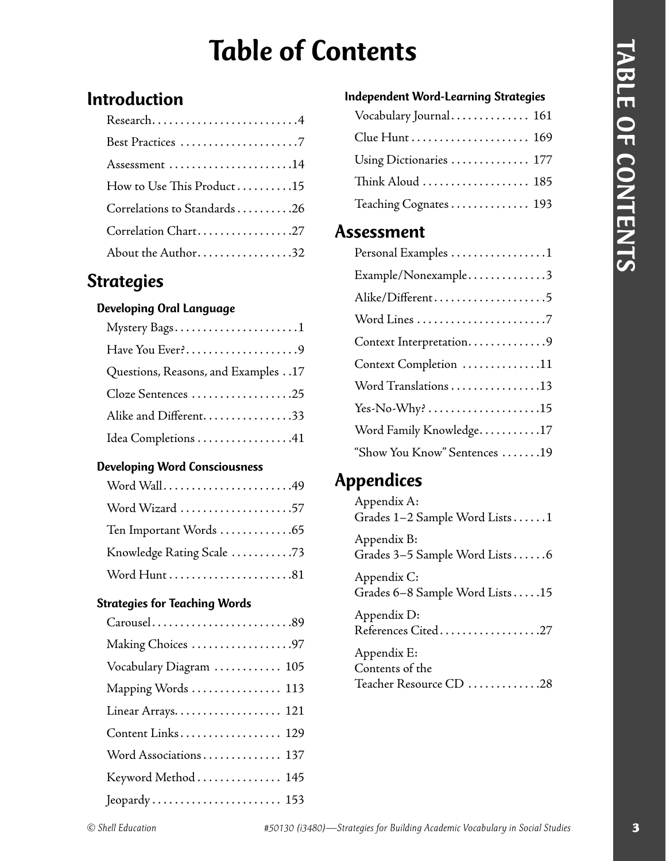## Table of Contents

### Introduction

| Research4                    |
|------------------------------|
|                              |
| Assessment 14                |
| How to Use This Product15    |
| Correlations to Standards 26 |
| Correlation Chart27          |
| About the Author32           |

### **Strategies**

#### Developing Oral Language

| Have You Ever?9                     |
|-------------------------------------|
| Questions, Reasons, and Examples 17 |
| Cloze Sentences 25                  |
| Alike and Different33               |
| Idea Completions 41                 |

#### Developing Word Consciousness

| Word Wall49               |
|---------------------------|
| Word Wizard 57            |
| Ten Important Words 65    |
| Knowledge Rating Scale 73 |
|                           |

#### Strategies for Teaching Words

| Carousel89              |
|-------------------------|
| Making Choices 97       |
| Vocabulary Diagram  105 |
| Mapping Words  113      |
| Linear Arrays 121       |
| Content Links 129       |
| Word Associations 137   |
| Keyword Method  145     |
|                         |
|                         |

| <b>Independent Word-Learning Strategies</b> |
|---------------------------------------------|
| Vocabulary Journal 161                      |
|                                             |
| Using Dictionaries  177                     |
| Think Aloud  185                            |
| Teaching Cognates 193                       |
| Assessment                                  |
| Personal Examples 1                         |
| Example/Nonexample3                         |
| Alike/Different5                            |
|                                             |
| Context Interpretation9                     |
| Context Completion 11                       |
| Word Translations 13                        |
|                                             |
| Word Family Knowledge. 17                   |
| "Show You Know" Sentences 19                |
|                                             |

### **Appendices**

| Appendix A:<br>Grades 1-2 Sample Word Lists1  |
|-----------------------------------------------|
| Appendix B:<br>Grades 3-5 Sample Word Lists6  |
| Appendix C:<br>Grades 6-8 Sample Word Lists15 |
| Appendix D:<br>References Cited27             |
| Appendix E:<br>Contents of the                |

Teacher Resource CD . . . . . . . . . . . . .28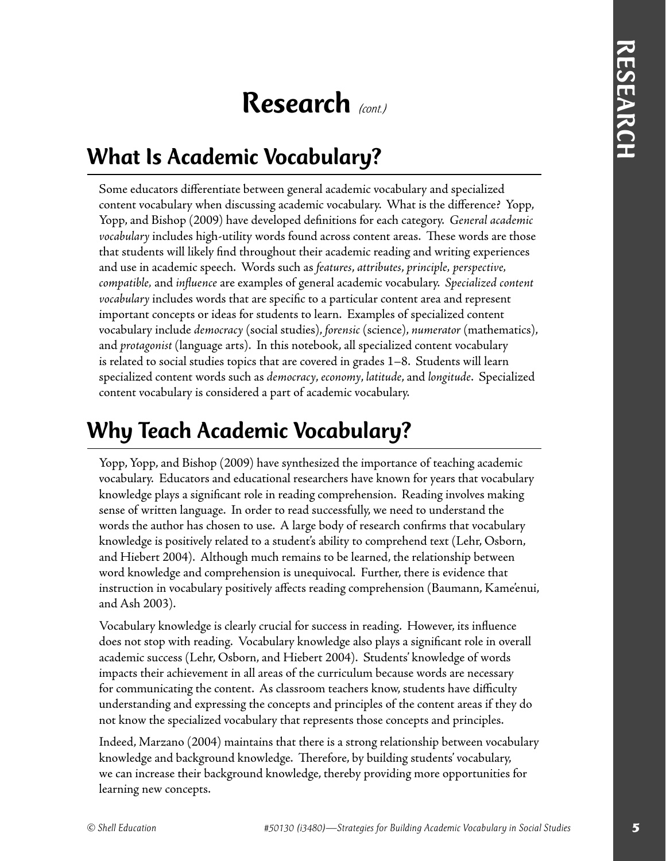## Research *(cont.)*

## What Is Academic Vocabulary?

Some educators differentiate between general academic vocabulary and specialized content vocabulary when discussing academic vocabulary. What is the difference? Yopp, Yopp, and Bishop (2009) have developed definitions for each category. *General academic vocabulary* includes high-utility words found across content areas. These words are those that students will likely find throughout their academic reading and writing experiences and use in academic speech. Words such as *features*, *attributes*, *principle, perspective, compatible,* and *infl uence* are examples of general academic vocabulary. *Specialized content vocabulary* includes words that are specific to a particular content area and represent important concepts or ideas for students to learn. Examples of specialized content vocabulary include *democracy* (social studies), *forensic* (science), *numerator* (mathematics), and *protagonist* (language arts). In this notebook, all specialized content vocabulary is related to social studies topics that are covered in grades 1–8. Students will learn specialized content words such as *democracy*, *economy*, *latitude*, and *longitude*. Specialized content vocabulary is considered a part of academic vocabulary.

## Why Teach Academic Vocabulary?

Yopp, Yopp, and Bishop (2009) have synthesized the importance of teaching academic vocabulary. Educators and educational researchers have known for years that vocabulary knowledge plays a significant role in reading comprehension. Reading involves making sense of written language. In order to read successfully, we need to understand the words the author has chosen to use. A large body of research confirms that vocabulary knowledge is positively related to a student's ability to comprehend text (Lehr, Osborn, and Hiebert 2004). Although much remains to be learned, the relationship between word knowledge and comprehension is unequivocal. Further, there is evidence that instruction in vocabulary positively affects reading comprehension (Baumann, Kame'enui, and Ash 2003).

Vocabulary knowledge is clearly crucial for success in reading. However, its influence does not stop with reading. Vocabulary knowledge also plays a significant role in overall academic success (Lehr, Osborn, and Hiebert 2004). Students' knowledge of words impacts their achievement in all areas of the curriculum because words are necessary for communicating the content. As classroom teachers know, students have difficulty understanding and expressing the concepts and principles of the content areas if they do not know the specialized vocabulary that represents those concepts and principles.

Indeed, Marzano (2004) maintains that there is a strong relationship between vocabulary knowledge and background knowledge. Therefore, by building students' vocabulary, we can increase their background knowledge, thereby providing more opportunities for learning new concepts.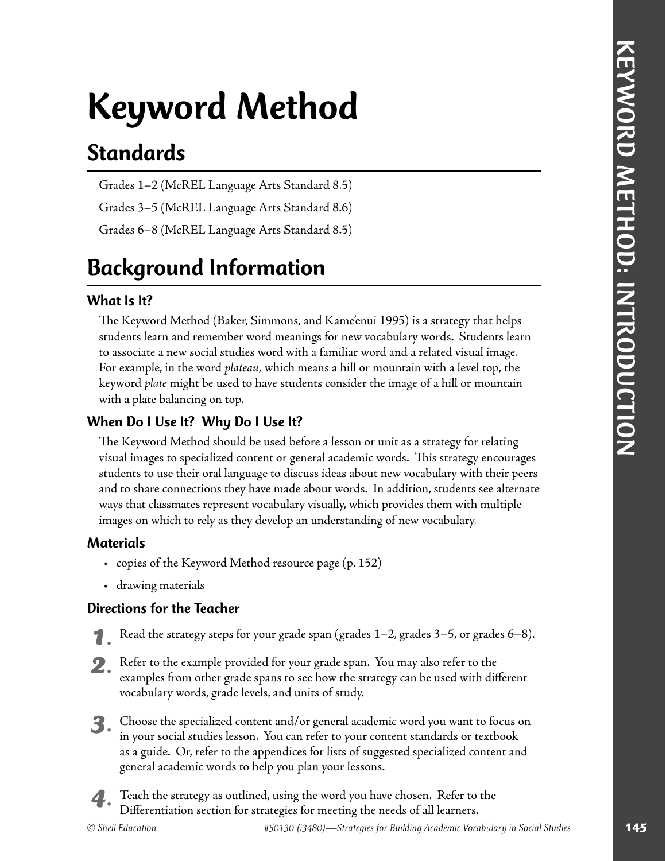# Keyword Method

## Standards

Grades 1–2 (McREL Language Arts Standard 8.5)

Grades 3–5 (McREL Language Arts Standard 8.6)

Grades 6–8 (McREL Language Arts Standard 8.5)

## Background Information

#### What Is It?

The Keyword Method (Baker, Simmons, and Kame'enui 1995) is a strategy that helps students learn and remember word meanings for new vocabulary words. Students learn to associate a new social studies word with a familiar word and a related visual image. For example, in the word *plateau,* which means a hill or mountain with a level top, the keyword *plate* might be used to have students consider the image of a hill or mountain with a plate balancing on top.

#### When Do I Use It? Why Do I Use It?

**Standards**<br>
Standards<br>
Craske 3 5 (MeREL Largange Arm Standard 85)<br>
Craske 3 3 (MeREL Largange Arm Standard 85)<br>
Craske 8 3 (MeREL Largange Arm Standard 85)<br>
Craske 8 3 (MeREL Largange Arm Standard 85)<br> **Craske 8 4 (MeREL** The Keyword Method should be used before a lesson or unit as a strategy for relating visual images to specialized content or general academic words. This strategy encourages students to use their oral language to discuss ideas about new vocabulary with their peers and to share connections they have made about words. In addition, students see alternate ways that classmates represent vocabulary visually, which provides them with multiple images on which to rely as they develop an understanding of new vocabulary.

#### Materials

- copies of the Keyword Method resource page (p. 152)
- drawing materials

#### Directions for the Teacher

- *1.* Read the strategy steps for your grade span (grades 1–2, grades 3–5, or grades 6–8).
- *2.* Refer to the example provided for your grade span. You may also refer to the examples from other grade spans to see how the strategy can be used with different vocabulary words, grade levels, and units of study.
- *3.* Choose the specialized content and/or general academic word you want to focus on in your social studies lesson. You can refer to your content standards or textbook as a guide. Or, refer to the appendices for lists of suggested specialized content and general academic words to help you plan your lessons.

 *4.* Teach the strategy as outlined, using the word you have chosen. Refer to the Differentiation section for strategies for meeting the needs of all learners.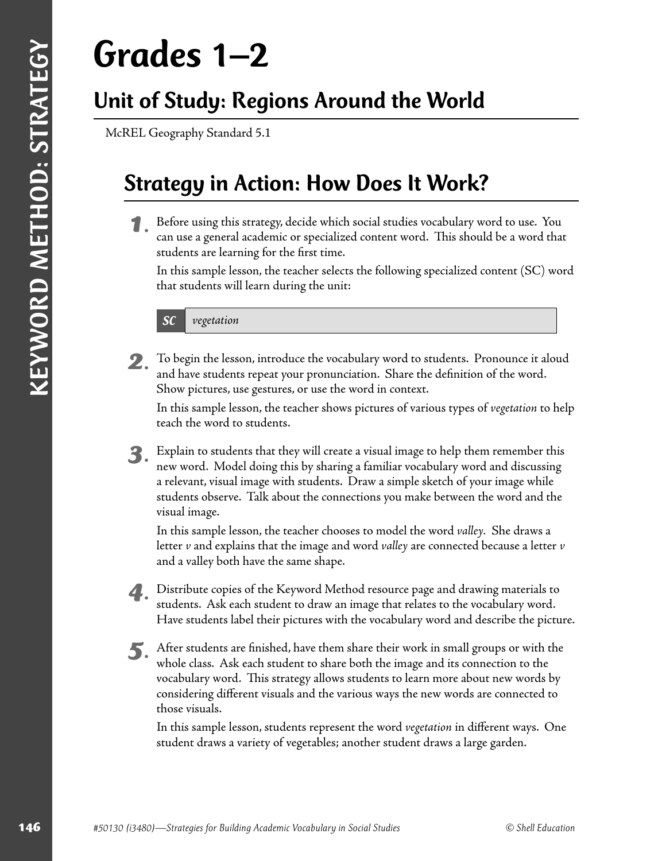# Grades 1–2

## Unit of Study: Regions Around the World

McREL Geography Standard 5.1

## Strategy in Action: How Does It Work?

 *1.* Before using this strategy, decide which social studies vocabulary word to use. You can use a general academic or specialized content word. This should be a word that students are learning for the first time.

In this sample lesson, the teacher selects the following specialized content (SC) word that students will learn during the unit:

SC *vegetation*

 *2.* To begin the lesson, introduce the vocabulary word to students. Pronounce it aloud and have students repeat your pronunciation. Share the definition of the word. Show pictures, use gestures, or use the word in context.

In this sample lesson, the teacher shows pictures of various types of *vegetation* to help teach the word to students.

1468 (**i** 4688)—Strategies for Building Academic Vocabulary in Social Strategies for Building Academic Vocabulary in Strategies for Building Academic Vocabulary in Social Strategies Scheducation Contents and the social str  *3.* Explain to students that they will create a visual image to help them remember this new word. Model doing this by sharing a familiar vocabulary word and discussing a relevant, visual image with students. Draw a simple sketch of your image while students observe. Talk about the connections you make between the word and the visual image.

In this sample lesson, the teacher chooses to model the word *valley.* She draws a letter *v* and explains that the image and word *valley* are connected because a letter *v* and a valley both have the same shape.

 *4.* Distribute copies of the Keyword Method resource page and drawing materials to students. Ask each student to draw an image that relates to the vocabulary word. Have students label their pictures with the vocabulary word and describe the picture.

After students are finished, have them share their work in small groups or with the whole class. Ask each student to share both the image and its connection to the vocabulary word. This strategy allows students to learn more about new words by considering different visuals and the various ways the new words are connected to those visuals.

In this sample lesson, students represent the word *vegetation* in different ways. One student draws a variety of vegetables; another student draws a large garden.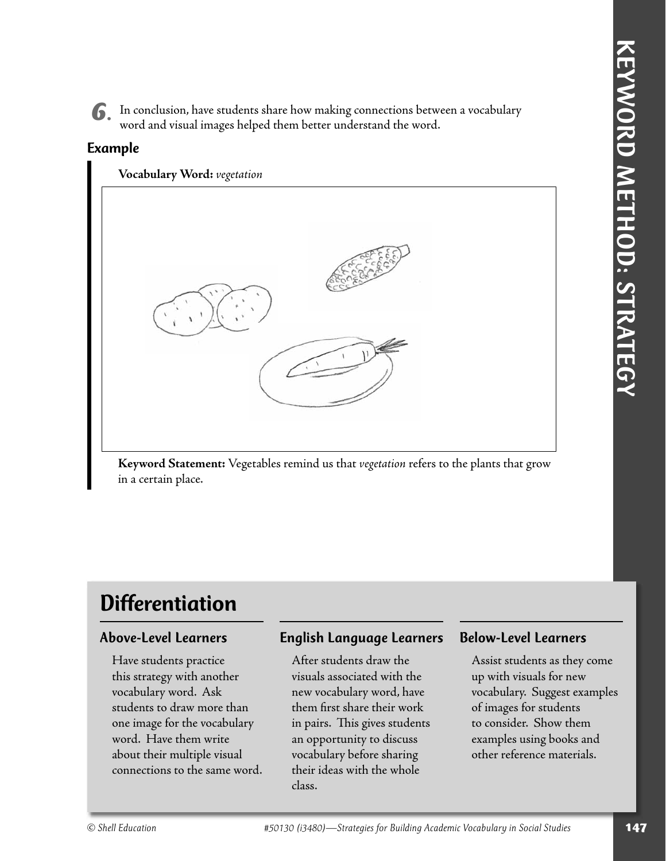*6.* In conclusion, have students share how making connections between a vocabulary word and visual images helped them better understand the word.

#### Example

**Vocabulary Word:** *vegetation*



**Keyword Statement:** Vegetables remind us that *vegetation* refers to the plants that grow in a certain place.

## **Differentiation**

#### Above-Level Learners

Have students practice this strategy with another vocabulary word. Ask students to draw more than one image for the vocabulary word. Have them write about their multiple visual connections to the same word.

#### English Language Learners

After students draw the visuals associated with the new vocabulary word, have them first share their work in pairs. This gives students an opportunity to discuss vocabulary before sharing their ideas with the whole class.

#### Below-Level Learners

Assist students as they come up with visuals for new vocabulary. Suggest examples of images for students to consider. Show them examples using books and other reference materials.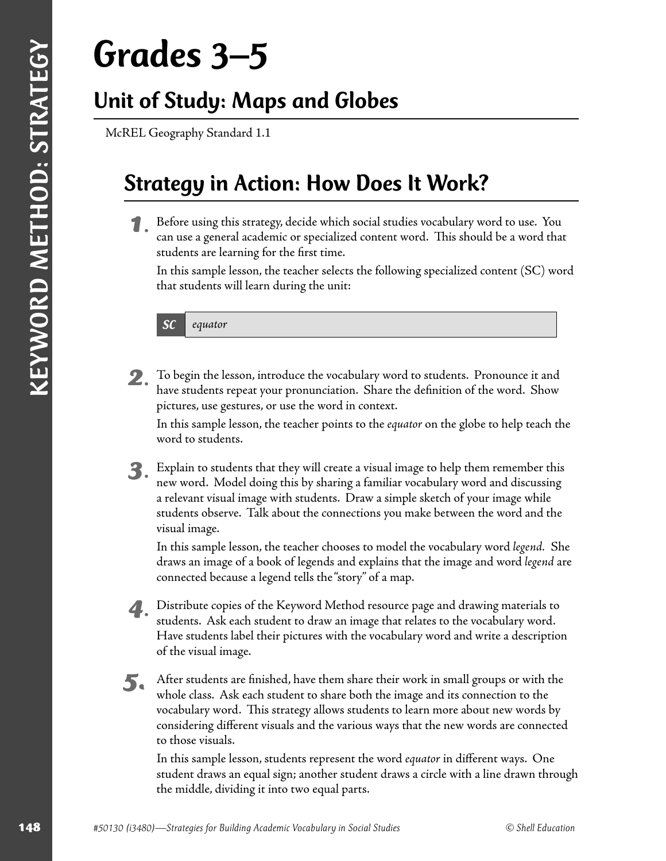# Grades 3–5

## Unit of Study: Maps and Globes

McREL Geography Standard 1.1

## Strategy in Action: How Does It Work?

 *1.* Before using this strategy, decide which social studies vocabulary word to use. You can use a general academic or specialized content word. This should be a word that students are learning for the first time.

In this sample lesson, the teacher selects the following specialized content (SC) word that students will learn during the unit:

SC *equator*

 *2.* To begin the lesson, introduce the vocabulary word to students. Pronounce it and have students repeat your pronunciation. Share the definition of the word. Show pictures, use gestures, or use the word in context.

In this sample lesson, the teacher points to the *equator* on the globe to help teach the word to students.

 *3.* Explain to students that they will create a visual image to help them remember this new word. Model doing this by sharing a familiar vocabulary word and discussing a relevant visual image with students. Draw a simple sketch of your image while students observe. Talk about the connections you make between the word and the visual image.

In this sample lesson, the teacher chooses to model the vocabulary word *legend.* She draws an image of a book of legends and explains that the image and word *legend* are connected because a legend tells the "story" of a map.

- *4.* Distribute copies of the Keyword Method resource page and drawing materials to students. Ask each student to draw an image that relates to the vocabulary word. Have students label their pictures with the vocabulary word and write a description of the visual image.
- 1488 **14913**<br>
1488 (in the strategies for Building Academic Vocabulary in Section 20130 (i) the strategies for Building Academic Vocabulary in Section 20130 (i) the strategies for Building Academic Vocabulary in Social Stu **5.** After students are finished, have them share their work in small groups or with the whole class. Ask each student to share both the image and its connection to the vocabulary word. This strategy allows students to learn more about new words by considering different visuals and the various ways that the new words are connected to those visuals.

In this sample lesson, students represent the word *equator* in different ways. One student draws an equal sign; another student draws a circle with a line drawn through the middle, dividing it into two equal parts.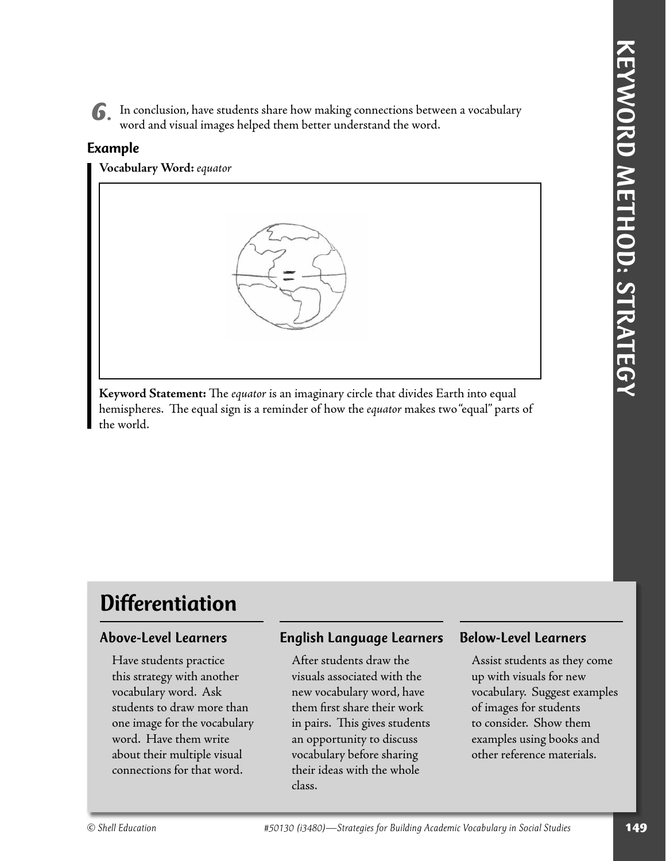*6.* In conclusion, have students share how making connections between a vocabulary word and visual images helped them better understand the word.

#### Example

**Vocabulary Word:** *equator*



Keyword Statement: The *equator* is an imaginary circle that divides Earth into equal hemispheres. The equal sign is a reminder of how the *equator* makes two "equal" parts of the world.

## **Differentiation**

#### Above-Level Learners

Have students practice this strategy with another vocabulary word. Ask students to draw more than one image for the vocabulary word. Have them write about their multiple visual connections for that word.

#### English Language Learners

After students draw the visuals associated with the new vocabulary word, have them first share their work in pairs. This gives students an opportunity to discuss vocabulary before sharing their ideas with the whole class.

#### Below-Level Learners

Assist students as they come up with visuals for new vocabulary. Suggest examples of images for students to consider. Show them examples using books and other reference materials.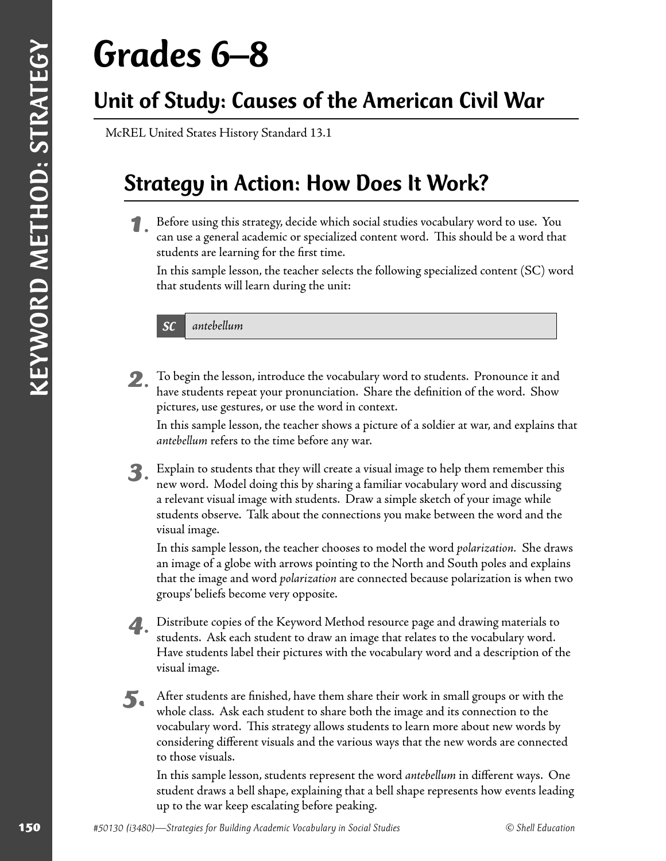# Grades 6–8

## Unit of Study: Causes of the American Civil War

McREL United States History Standard 13.1

### Strategy in Action: How Does It Work?

 *1.* Before using this strategy, decide which social studies vocabulary word to use. You can use a general academic or specialized content word. This should be a word that students are learning for the first time.

In this sample lesson, the teacher selects the following specialized content (SC) word that students will learn during the unit:

SC *antebellum*

 *2.* To begin the lesson, introduce the vocabulary word to students. Pronounce it and have students repeat your pronunciation. Share the definition of the word. Show pictures, use gestures, or use the word in context.

In this sample lesson, the teacher shows a picture of a soldier at war, and explains that *antebellum* refers to the time before any war.

 *3.* Explain to students that they will create a visual image to help them remember this new word. Model doing this by sharing a familiar vocabulary word and discussing a relevant visual image with students. Draw a simple sketch of your image while students observe. Talk about the connections you make between the word and the visual image.

In this sample lesson, the teacher chooses to model the word *polarization.* She draws an image of a globe with arrows pointing to the North and South poles and explains that the image and word *polarization* are connected because polarization is when two groups' beliefs become very opposite.

- *4.* Distribute copies of the Keyword Method resource page and drawing materials to students. Ask each student to draw an image that relates to the vocabulary word. Have students label their pictures with the vocabulary word and a description of the visual image.
- 1501 **Example Strategies for American Civil War**<br>
1500 MAREL Untus State Henry Standard 13.1<br>
150 Strategy in Action : How Does It Work?<br>
160 Strategy in Action in Strategies fracts with a calculate resultation with the sa **5.** After students are finished, have them share their work in small groups or with the whole class. Ask each student to share both the image and its connection to the vocabulary word. This strategy allows students to learn more about new words by considering different visuals and the various ways that the new words are connected to those visuals.

In this sample lesson, students represent the word *antebellum* in different ways. One student draws a bell shape, explaining that a bell shape represents how events leading up to the war keep escalating before peaking.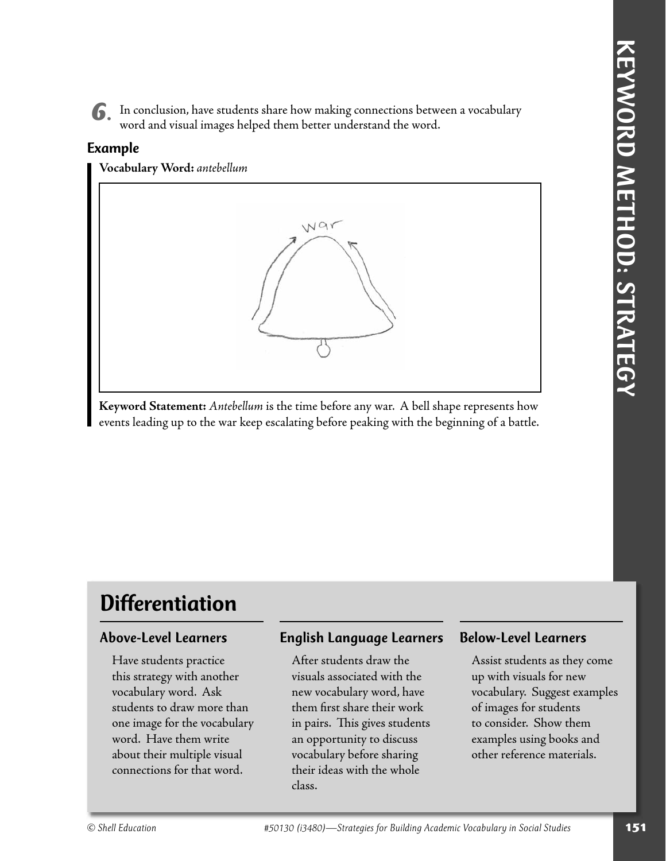*6.* In conclusion, have students share how making connections between a vocabulary word and visual images helped them better understand the word.

#### Example

**Vocabulary Word:** *antebellum*



**Keyword Statement:** *Antebellum* is the time before any war. A bell shape represents how events leading up to the war keep escalating before peaking with the beginning of a battle.

## **Differentiation**

#### Above-Level Learners

Have students practice this strategy with another vocabulary word. Ask students to draw more than one image for the vocabulary word. Have them write about their multiple visual connections for that word.

#### English Language Learners

After students draw the visuals associated with the new vocabulary word, have them first share their work in pairs. This gives students an opportunity to discuss vocabulary before sharing their ideas with the whole class.

#### Below-Level Learners

Assist students as they come up with visuals for new vocabulary. Suggest examples of images for students to consider. Show them examples using books and other reference materials.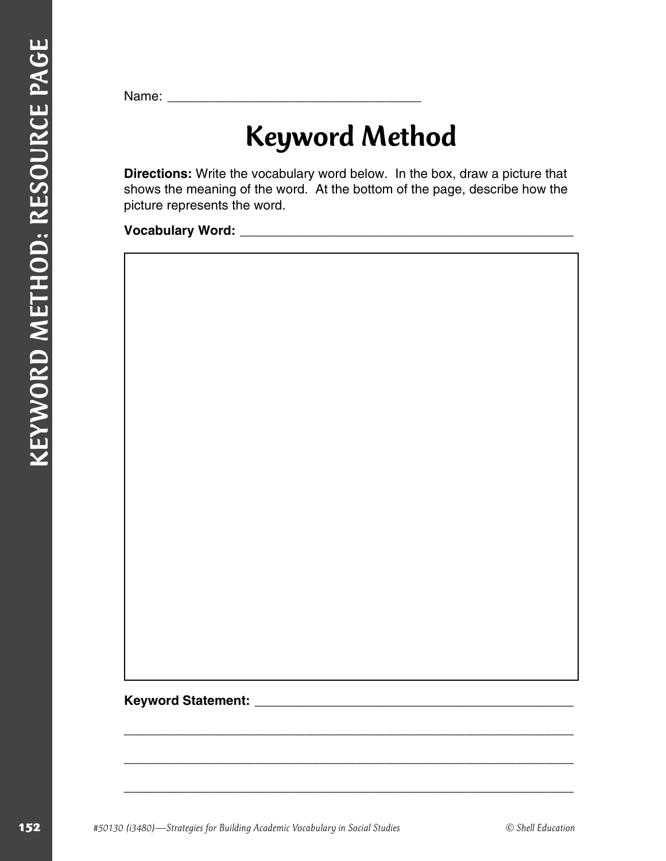Name:

# Keyword Method

**Directions:** Write the vocabulary word below. In the box, draw a picture that shows the meaning of the word. At the bottom of the page, describe how the picture represents the word.

\_\_\_\_\_\_\_\_\_\_\_\_\_\_\_\_\_\_\_\_\_\_\_\_\_\_\_\_\_\_\_\_\_\_\_\_\_\_\_\_\_\_\_\_\_\_\_\_\_\_\_\_\_\_\_\_\_\_\_\_\_\_

\_\_\_\_\_\_\_\_\_\_\_\_\_\_\_\_\_\_\_\_\_\_\_\_\_\_\_\_\_\_\_\_\_\_\_\_\_\_\_\_\_\_\_\_\_\_\_\_\_\_\_\_\_\_\_\_\_\_\_\_\_\_

**Vocabulary Word:** \_\_\_\_\_\_\_\_\_\_\_\_\_\_\_\_\_\_\_\_\_\_\_\_\_\_\_\_\_\_\_\_\_\_\_\_\_\_\_\_\_\_\_\_\_\_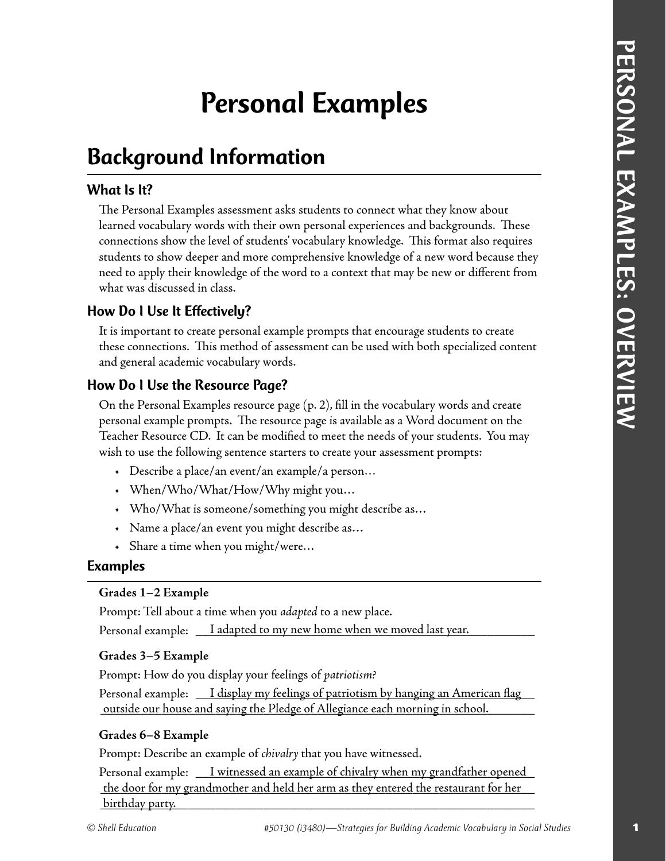## Personal Examples

## Background Information

#### What Is It?

**Personnal Examples**<br> **What** is the Present Rearegies assumed ask studient to connect what they know about<br>
The Personal Rearegies assumed ask of Building Youndary in the formula respective and histographical three constra The Personal Examples assessment asks students to connect what they know about learned vocabulary words with their own personal experiences and backgrounds. These connections show the level of students' vocabulary knowledge. This format also requires students to show deeper and more comprehensive knowledge of a new word because they need to apply their knowledge of the word to a context that may be new or different from what was discussed in class.

#### How Do I Use It Effectively?

It is important to create personal example prompts that encourage students to create these connections. This method of assessment can be used with both specialized content and general academic vocabulary words.

#### How Do I Use the Resource Page?

On the Personal Examples resource page (p. 2), fill in the vocabulary words and create personal example prompts. The resource page is available as a Word document on the Teacher Resource CD. It can be modified to meet the needs of your students. You may wish to use the following sentence starters to create your assessment prompts:

- Describe a place/an event/an example/a person…
- When/Who/What/How/Why might you…
- Who/What is someone/something you might describe as…
- Name a place/an event you might describe as…
- Share a time when you might/were…

#### Examples

#### **Grades 1–2 Example**

Prompt: Tell about a time when you *adapted* to a new place.

Personal example:  $\quad \_$  I adapted to my new home when we moved last year.  $\quad \_ \_$ 

#### **Grades 3–5 Example**

Prompt: How do you display your feelings of *patriotism?*

Personal example:  $\quad \_ I$  display my feelings of patriotism by hanging an American flag \_\_\_\_\_\_\_\_\_\_\_\_\_\_\_\_\_\_\_\_\_\_\_\_\_\_\_\_\_\_\_\_\_\_\_\_\_\_\_\_\_\_\_\_\_\_\_\_\_\_\_\_\_\_\_\_\_\_\_\_\_\_\_\_ outside our house and saying the Pledge of Allegiance each morning in school.

#### **Grades 6–8 Example**

Prompt: Describe an example of *chivalry* that you have witnessed.

Personal example:  $\quad \_ I$  witnessed an example of chivalry when my grandfather opened the door for my grandmother and held her arm as they entered the restaurant for her \_\_\_\_\_\_\_\_\_\_\_\_\_\_\_\_\_\_\_\_\_\_\_\_\_\_\_\_\_\_\_\_\_\_\_\_\_\_\_\_\_\_\_\_\_\_\_\_\_\_\_\_\_\_\_\_\_\_\_\_\_\_\_\_ birthday party.